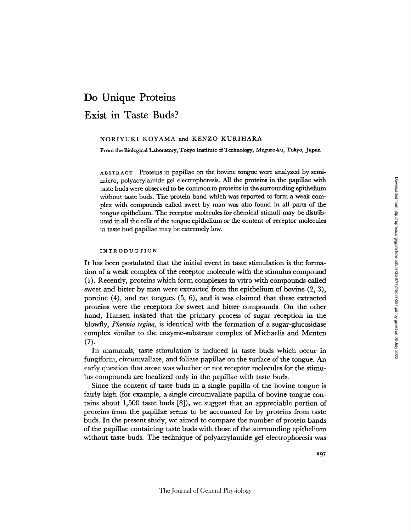# Do Unique Proteins Exist in Taste Buds?

## NORIYUKI KOYAMA and KENZO KURIHARA

From the Biological Laboratory, Tokyo Institute of Technology, Meguro-ku, Tokyo, Japan

**ABSTRACT** Proteins in papillae on the bovine tongue were analyzed by semimicro, polyacrylamide gel electrophoresis. All the proteins in the papillae with taste buds were observed to be common to proteins in the surrounding epithelium without taste buds. The protein band which was reported to form a weak complex with compounds called sweet by man was also found in all parts of the tongue epithelium. The receptor molecules for chemical stimuli may be distributed in all the cells of the tongue epithelium or the content of receptor molecules in taste bud papillae may be extremely low.

## INTRODUCTION

It has been postulated that the initial event in taste stimulation is the formation of a weak complex of the receptor molecule with the stimulus compound (1). Recently, proteins which form complexes in vitro with compounds called sweet and bitter by man were extracted from the epithelium of bovine (2, 3), porcine (4), and rat tongues (5, 6), and it was claimed that these extracted proteins were the receptors for sweet and bitter compounds. On the other hand, Hansen insisted that the primary process of sugar reception in the blowfly, *Phormia regina,* is identical with the formation of a sugar-glucosidase complex similar to the enzyme-substrate complex of Michaelis and Menten (7).

In mammals, taste stimulation is induced in taste buds which occur in fungiform, circumvallate, and foliate papillae on the surface of the tongue. An early question that arose was whether or not receptor molecules for the stimulus compounds are localized only in the papillae with taste buds.

Since the content of taste buds in a single papilla of the bovine tongue is fairly high (for example, a single circumvallate papilla of bovine tongue contains about 1,500 taste buds [8]), we suggest that an appreciable portion of proteins from the papillae seems to be accounted for by proteins from taste buds. In the present study, we aimed to compare the number of protein bands of the papillae containing taste buds with those of the surrounding epithelium without taste buds. The technique of polyacrylamide gel electrophoresis was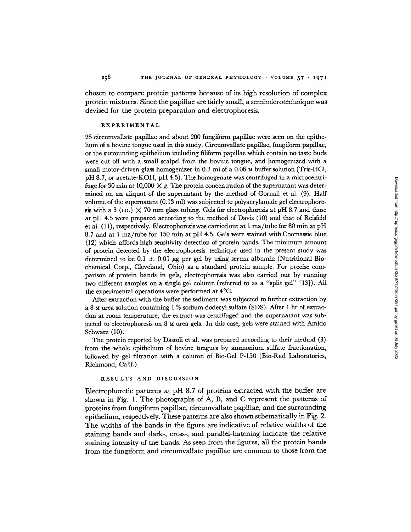chosen to compare protein patterns because of its high resolution of complex protein mixtures. Since the papillae are fairly small, a semimicrotechnique was devised for the protein preparation and electrophoresis.

#### EXPERIMENTAL

26 circumvallate papillae and about 200 fungiform papillae were seen on the epithelium of a bovine tongue used in this study. Circumvallate papillae, fungiform papillae, or the surrounding epithelium including filiform papillae which contain no taste buds were cut off with a small scalpel from the bovine tongue, and homogenized with a small motor-driven glass homogenizer in 0.3 ml of a 0.06 M buffer solution (Tris-HC1, pH 8.7, or acetate-KOH, pH 4.5). The homogenate was centrifuged in a microcentrifuge for 30 min at 10,000  $\times$  g. The protein concentration of the supernatant was determined on an aliquot of the supernatant by the method of Gornall et al. (9). Half volume of the supernatant (0.13 ml) was subjected to polyacrylamide gel electrophoresis with a 3 (I.D.)  $\times$  70 mm glass tubing. Gels for electrophoresis at pH 8.7 and those at pH 4.5 were prepared according to the method of Davis (10) and that of Reisfeld et al. (11), respectively. Electrophoresiswas carried out at 1 ma/tube for 80 min at pH 8.7 and at 1 ma/tube for 150 min at pH 4.5. Gels were stained with Coomassie blue (12) which affords high sensitivity detection of protein bands. The minimum amount of protein detected by the electrophoresis technique used in the present study was determined to be 0.1  $\pm$  0.05 µg per gel by using serum albumin (Nutritional Biochemical Corp., Cleveland, Ohio) as a standard protein sample. For precise comparison of protein bands in gels, electrophoresis was also carried out by running two different samples on a single gel column (referred to as a "split gel" [13]). All the experimental operations were performed at 4°C.

After extraction with the buffer the sediment was subjected to further extraction by a 8 M urea solution containing 1 % sodium dodecyl sulfate (SDS). After 1 hr of extraction at room temperature, the extract was centrifuged and the supernatant was subjected to electrophoresis on 8 M urea gels. In this case, gels were stained with Amido Schwarz (10).

The protein reported by Dastoli et al. was prepared according to their method (3) from the whole epithelium of bovine tongues by ammonium sulfate fractionation, followed by gel filtration with a column of Bio-Gel P-150 (Bio-Rad Laboratories, Richmond, Calif.).

### RESULTS AND DISCUSSION

Electrophoretic patterns at pH 8.7 of proteins extracted with the buffer are shown in Fig. 1. The photographs of A, B, and C represent the patterns of proteins from fungiform papillae, circumvallate papillae, and the surrounding epithelium, respectively. These patterns are also shown schematically in Fig. 2. The widths of the bands in the figure are indicative of relative widths of the staining bands and dark-, cross-, and parallel-hatching indicate the relative staining intensity of the bands. As seen from the figures, all the protein bands from the fungiform and circumvallate papillae are common to those from the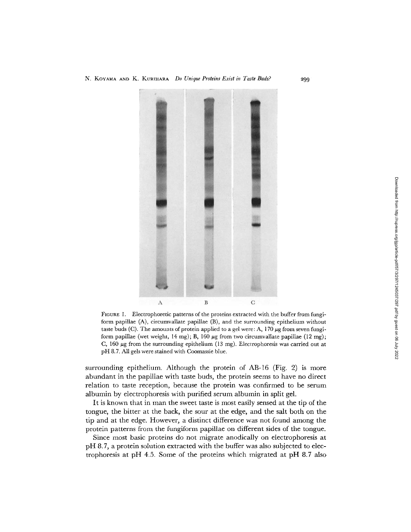N. KOYAMA **AND** K. **KURIHARA** *Do Unique Proteins Exist in Taste Buds?* 299



FIGURE 1. Electrophoretic patterns of the proteins extracted with the buffer from fungiform papillae (A), circumvallate papillae (B), and the surrounding epithelium without taste buds (C). The amounts of protein applied to a gel were: A, 170  $\mu$ g from seven fungiform papillae (wet weight, 14 mg); B, 160  $\mu$ g from two circumvallate papillae (12 mg); C, 160  $\mu$ g from the surrounding epithelium (13 mg). Electrophoresis was carried out at pH 8.7. All gels were stained with Coomassie blue.

surrounding epithelium. Although the protein of AB-16 (Fig. 2) is more abundant in the papillae with taste buds, the protein seems to have no direct relation to taste reception, because the protein was confirmed to be serum albumin by electrophoresis with purified serum albumin in split gel.

It is known that in man the sweet taste is most easily sensed at the tip of the tongue, the bitter at the back, the sour at the edge, and the salt both on the tip and at the edge. However, a distinct difference was not found among the protein patterns from the fungiform papillae on different sides of the tongue.

Since most basic proteins do not migrate anodically on electrophoresis at pH 8.7, a protein solution extracted with the buffer was also subjected to electrophoresis at pH 4.5. Some of the proteins which migrated at pH 8.7 also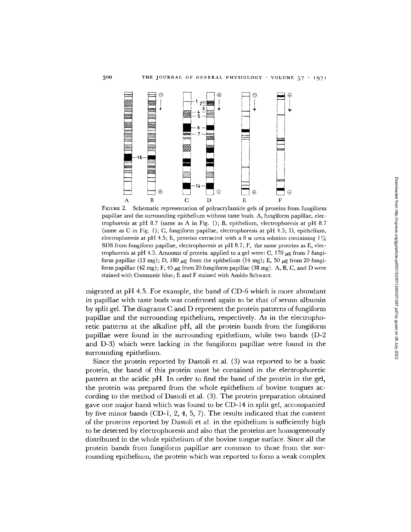

FIGURE 2. Schematic representation of polyacrylamide gels of proteins from fungiform papillae and the surrounding epithelium without taste buds. A, fungiform papillae, electrophoresis at pH 8.7 (same as A in Fig. 1); B, epithelium, electrophoresis at pH 8.7 (same as C in Fig. 1); C, fungiform papillae, electrophoresis at  $pH$  4.5; D, epithelium, electrophoresis at pH 4.5; E, proteins extracted with a 8  $\mu$  urea solution containing 1% SDS from fungiform papillae, electrophoresis at  $pH\,8.7$ ; F, the same proteins as E, electrophoresis at pH 4.5. Amounts of protein applied to a gel were: C, 170  $\mu$ g from 7 fungiform papillae (13 mg); D, 180  $\mu$ g from the epithelium (14 mg); E, 50  $\mu$ g from 20 fungiform papillae  $(42 \text{ mg})$ ; F,  $45 \mu$ g from 20 fungiform papillae  $(38 \text{ mg})$ . A, B, C, and D were stained with Coomassie blue; E and F stained with Amido Schwarz.

migrated at pH 4.5. For example, the band of CD-6 which is more abundant in papillae with taste buds was confirmed again to be that of serum albumin by split gel. The diagrams C and D represent the protein patterns of fungiform papillae and the surrounding epithelium, respectively. As in the electrophoretic patterns at the alkaline pH, all the protein bands from the fungiform papillae were found in the surrounding epithelium, while two bands (D-2 and D-3) which were lacking in the fungiform papillae were found in the surrounding epithelium.

Since the protein reported by Dastoli et al. (3) was reported to be a basic protein, the band of this protein must be contained in the electrophoretic pattern at the acidic pH. In order to find the band of the protein in the gel, the protein was prepared from the whole epithelium of bovine tongues according to the method of Dastoli et al. (3). The protein preparation obtained gave one major band which was found to be CD-14 in split gel, accompanied by five minor bands (CD-1, 2, 4, 5, 7). The results indicated that the content of the proteins reported by Dastoli et al. in the epithelium is sufficiently high to be detected by electrophoresis and also that the proteins are homogeneously distributed in the whole epithelium of the bovine tongue surface. Since all the protein bands from fungiform papillae are common to those from the surrounding epithelium, the protein which was reported to form a weak complex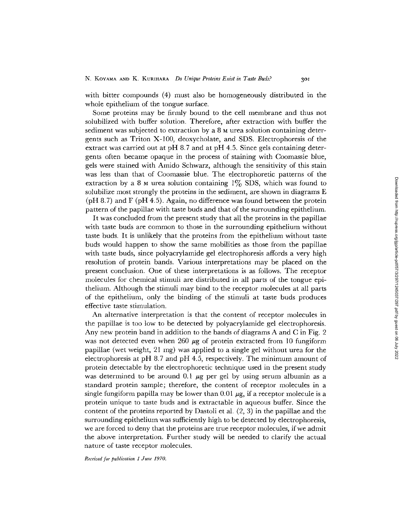with bitter compounds (4) must also be homogeneously distributed in the whole epithelium of the tongue surface.

Some proteins may be firmly bound to the cell membrane and thus not solubilized with buffer solution. Therefore, after extraction with buffer the sediment was subjected to extraction by a 8 M urea solution containing detergents such as Triton X-100, deoxycholate, and SDS. Electrophoresis of the extract was carried out at pH 8.7 and at pH 4.5. Since gels containing detergents often became opaque in the process of staining with Coomassie blue, gels were stained with Amido Schwarz, although the sensitivity of this stain was less than that of Coomassie blue. The electrophoretic patterns of the extraction by a 8 M urea solution containing  $1\%$  SDS, which was found to solubilize most strongly the proteins in the sediment, are shown in diagrams E  $(pH 8.7)$  and F  $(pH 4.5)$ . Again, no difference was found between the protein pattern of the papillae with taste buds and that of the surrounding epithelium.

It was concluded from the present study that all the proteins in the papillae with taste buds are common to those in the surrounding epithelium without taste buds. It is unlikely that the proteins from the epithelium without taste buds would happen to show the same mobilities as those from the papillae with taste buds, since polyacrylamide gel electrophoresis affords a very high resolution of protein bands. Various interpretations may be placed on the present conclusion. One of these interpretations is as follows. The receptor molecules for chemical stimuli are distributed in all parts of the tongue epithelium. Although the stimuli may bind to the receptor molecules at all parts of the epithelium, only the binding of the stimuli at taste buds produces effective taste stimulation.

An alternative interpretation is that the content of receptor molecules in the papillae is too low to be detected by polyacrylamide gel electrophoresis. Any new protein band in addition to the bands of diagrams A and C in Fig. 2 was not detected even when 260  $\mu$ g of protein extracted from 10 fungiform papillae (wet weight, 21 mg) was applied to a single gel without urea for the electrophoresis at pH 8.7 and pH 4.5, respectively. The minimum amount of protein detectable by the electrophoretic technique used in the present study was determined to be around 0.1 µg per gel by using serum albumin as a standard protein sample; therefore, the content of receptor molecules in a single fungiform papilla may be lower than  $0.01\ \mu{\rm g},$  if a receptor molecule is a protein unique to taste buds and is extractable in aqueous buffer. Since the content of the proteins reported by Dastoli et al. (2, 3) in the papillae and the surrounding epithelium was sufficiently high to be detected by electrophoresis, we are forced to deny that the proteins are true receptor molecules, if we admit the above interpretation. Further study will be needed to clarify the actual nature of taste receptor molecules.

*Received for publication I June 1970.*